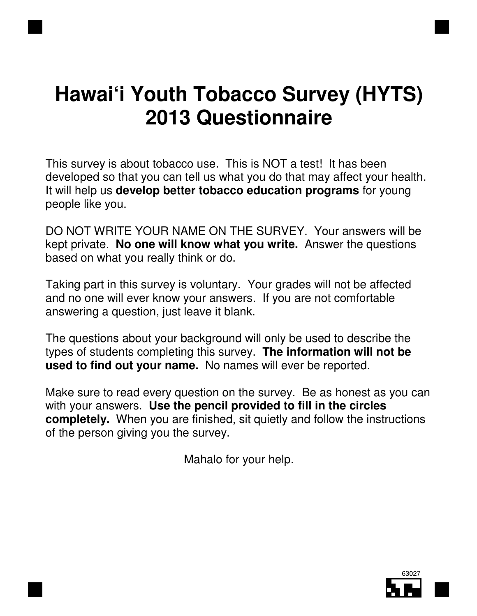

This survey is about tobacco use. This is NOT a test! It has been developed so that you can tell us what you do that may affect your health. It will help us **develop better tobacco education programs** for young people like you.

DO NOT WRITE YOUR NAME ON THE SURVEY. Your answers will be kept private. **No one will know what you write.** Answer the questions based on what you really think or do.

Taking part in this survey is voluntary. Your grades will not be affected and no one will ever know your answers. If you are not comfortable answering a question, just leave it blank.

The questions about your background will only be used to describe the types of students completing this survey. **The information will not be used to find out your name.** No names will ever be reported.

Make sure to read every question on the survey. Be as honest as you can with your answers. **Use the pencil provided to fill in the circles completely.** When you are finished, sit quietly and follow the instructions of the person giving you the survey.

Mahalo for your help.

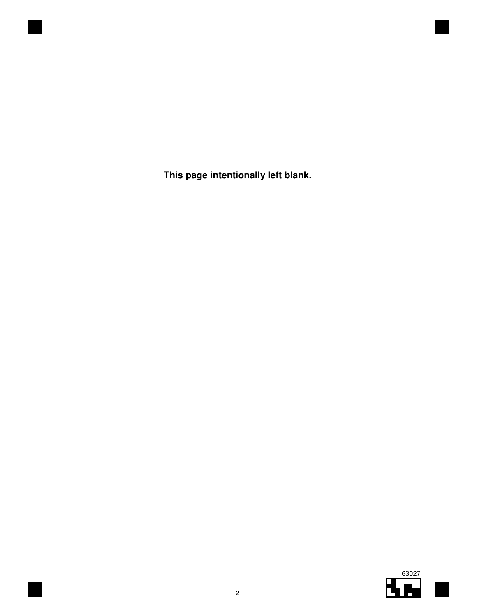**This page intentionally left blank.**

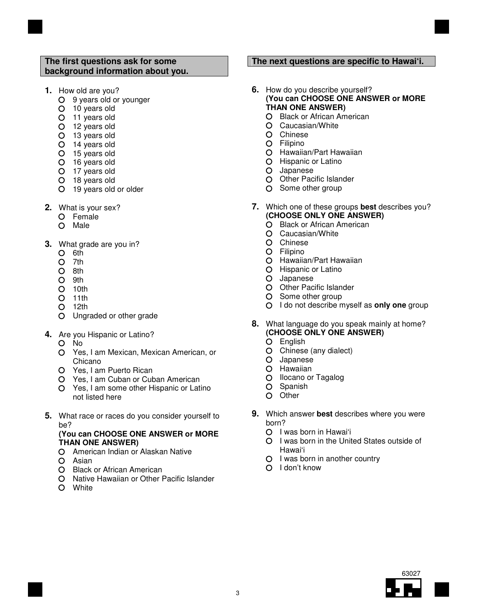#### **The first questions ask for some background information about you.**

- **1.** How old are you?
	- 9 years old or younger
	- 10 years old
	- 11 years old
	- 12 years old
	- 13 years old
	- 14 years old
	- 15 years old
	- 16 years old
	- 17 years old
	- 18 years old
	- 19 years old or older
- **2.** What is your sex?
	- O Female
	- O Male
- **3.** What grade are you in?
	- O 6th
	- O 7th
	- O 8th
	- O 9th
	- 10th
	- $O$  11th
	- 12th
	- Ungraded or other grade
- **4.** Are you Hispanic or Latino?
	- O No
	- Yes, I am Mexican, Mexican American, or Chicano
	- Yes, I am Puerto Rican
	- Yes, I am Cuban or Cuban American
	- Yes, I am some other Hispanic or Latino not listed here
- **5.** What race or races do you consider yourself to be?

#### **(You can CHOOSE ONE ANSWER or MORE THAN ONE ANSWER)**

- American Indian or Alaskan Native
- O Asian
- **O** Black or African American
- Native Hawaiian or Other Pacific Islander
- White

# **The next questions are specific to Hawai'i.**

- **6.** How do you describe yourself? **(You can CHOOSE ONE ANSWER or MORE THAN ONE ANSWER)** 
	- **O** Black or African American
	- Caucasian/White
	- O Chinese
	- Filipino
	- Hawaiian/Part Hawaiian
	- Hispanic or Latino
	- O Japanese
	- O Other Pacific Islander
	- O Some other group
- **7.** Which one of these groups **best** describes you? **(CHOOSE ONLY ONE ANSWER)** 
	- O Black or African American
	- Caucasian/White
	- O Chinese
	- Filipino
	- Hawaiian/Part Hawaiian
	- Hispanic or Latino
	- O Japanese
	- O Other Pacific Islander
	- O Some other group
	- I do not describe myself as **only one** group
- **8.** What language do you speak mainly at home?  **(CHOOSE ONLY ONE ANSWER)** 
	- O English
	- O Chinese (any dialect)
	- O Japanese
	- Hawaiian
	- O Ilocano or Tagalog
	- O Spanish
	- O Other
- **9.** Which answer **best** describes where you were born?
	- O I was born in Hawai'i
	- O I was born in the United States outside of Hawai'i
	- O I was born in another country
	- O I don't know

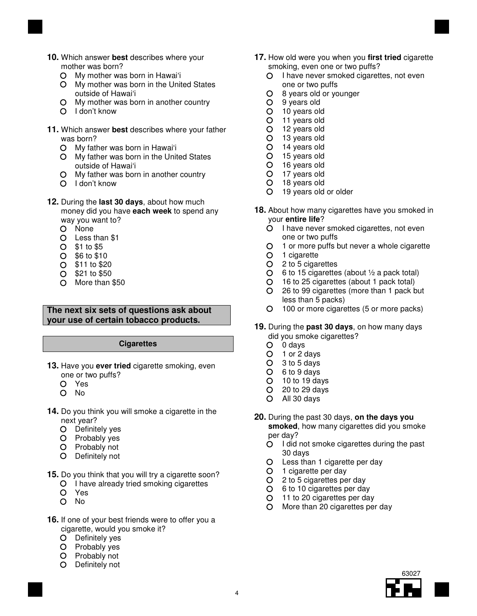- **10.** Which answer **best** describes where your mother was born?
	- My mother was born in Hawai'i
	- My mother was born in the United States outside of Hawai'i
	- My mother was born in another country
	- O I don't know
- **11.** Which answer **best** describes where your father was born?
	- My father was born in Hawai'i
	- My father was born in the United States outside of Hawai'i
	- My father was born in another country
	- O I don't know
- **12.** During the **last 30 days**, about how much money did you have **each week** to spend any way you want to?
	- O None
	- Less than \$1
	- \$1 to \$5
	- \$6 to \$10
	- \$11 to \$20
	- \$21 to \$50
	- More than \$50

#### **The next six sets of questions ask about your use of certain tobacco products.**

#### **Cigarettes**

- **13.** Have you **ever tried** cigarette smoking, even one or two puffs?
	- Yes
	- O No
- **14.** Do you think you will smoke a cigarette in the next year?
	- O Definitely yes
	- O Probably yes
	- O Probably not
	- O Definitely not
- **15.** Do you think that you will try a cigarette soon?
	- O I have already tried smoking cigarettes
	- Yes
	- O No
- **16.** If one of your best friends were to offer you a cigarette, would you smoke it?
	- O Definitely yes
	- O Probably yes
	- O Probably not
	- O Definitely not
- **17.** How old were you when you **first tried** cigarette smoking, even one or two puffs?
	- O I have never smoked cigarettes, not even one or two puffs
	- $\circ$ 8 years old or younger
	- $\circ$ 9 years old
	- $\circ$ 10 years old
	- $\circ$ 11 years old
	- $\circ$ 12 years old
	- $\circ$ 13 years old  $\circ$
	- 14 years old  $\circ$ 15 years old
	- $\circ$ 16 years old
	- $\circ$ 17 years old
	- $\circ$ 18 years old
	- $\overline{O}$ 19 years old or older
- **18.** About how many cigarettes have you smoked in your **entire life**?
	- O I have never smoked cigarettes, not even one or two puffs
	- 1 or more puffs but never a whole cigarette
	- 1 cigarette
	- 2 to 5 cigarettes
	- O 6 to 15 cigarettes (about  $\frac{1}{2}$  a pack total)
	- 16 to 25 cigarettes (about 1 pack total)
	- $\circ$ 26 to 99 cigarettes (more than 1 pack but less than 5 packs)
	- 100 or more cigarettes (5 or more packs)
- **19.** During the **past 30 days**, on how many days did you smoke cigarettes?
	- 0 days
	- O 1 or 2 days
	- 3 to 5 days
	- O 6 to 9 days
	- 10 to 19 days
	- $\circ$ 20 to 29 days
	- All 30 days
- **20.** During the past 30 days, **on the days you smoked**, how many cigarettes did you smoke per day?
	- O I did not smoke cigarettes during the past 30 days
	- Less than 1 cigarette per day  $\circ$
	- O 1 cigarette per day
	- $\circ$ 2 to 5 cigarettes per day
	- $\circ$ 6 to 10 cigarettes per day
	- $\circ$ 11 to 20 cigarettes per day
	- More than 20 cigarettes per day  $\circ$

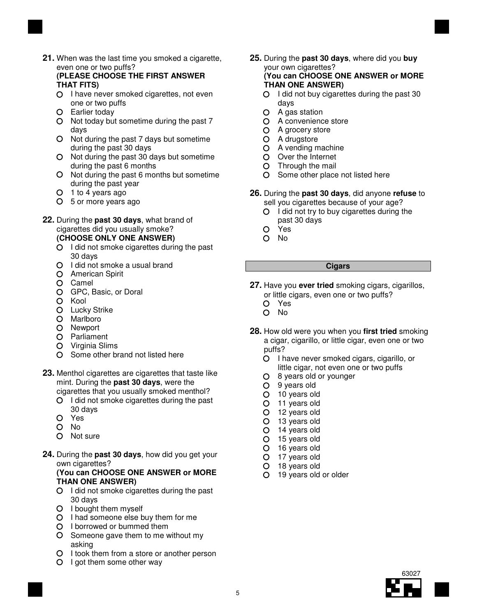**21.** When was the last time you smoked a cigarette, even one or two puffs?

# **(PLEASE CHOOSE THE FIRST ANSWER THAT FITS)**

- O I have never smoked cigarettes, not even one or two puffs
- Earlier today
- O Not today but sometime during the past 7 days
- O Not during the past 7 days but sometime during the past 30 days
- O Not during the past 30 days but sometime during the past 6 months
- O Not during the past 6 months but sometime during the past year
- 1 to 4 years ago
- 5 or more years ago
- **22.** During the **past 30 days**, what brand of cigarettes did you usually smoke?  **(CHOOSE ONLY ONE ANSWER)** 
	- O I did not smoke cigarettes during the past 30 days
	- O I did not smoke a usual brand
	- American Spirit
	- O Camel
	- GPC, Basic, or Doral
	- O Kool
	- Lucky Strike
	- Marlboro
	- O Newport
	- O Parliament
	- Virginia Slims
	- O Some other brand not listed here
- **23.** Menthol cigarettes are cigarettes that taste like mint. During the **past 30 days**, were the cigarettes that you usually smoked menthol?
	- O I did not smoke cigarettes during the past 30 days
	- Yes
	- O No
	- O Not sure
- **24.** During the **past 30 days**, how did you get your own cigarettes?

#### **(You can CHOOSE ONE ANSWER or MORE THAN ONE ANSWER)**

- O I did not smoke cigarettes during the past 30 days
- O I bought them myself
- O I had someone else buy them for me
- O I borrowed or bummed them
- O Someone gave them to me without my asking
- O I took them from a store or another person
- O I got them some other way
- **25.** During the **past 30 days**, where did you **buy**  your own cigarettes?  **(You can CHOOSE ONE ANSWER or MORE THAN ONE ANSWER)** 
	- O I did not buy cigarettes during the past 30 days
	- A gas station
	- A convenience store
	- A grocery store
	- A drugstore
	- A vending machine
	- Over the Internet
	- Through the mail
	- O Some other place not listed here
- **26.** During the **past 30 days**, did anyone **refuse** to sell you cigarettes because of your age?
	- I did not try to buy cigarettes during the past 30 days
	- $\circ$ Yes
	- O No

#### **Cigars**

- **27.** Have you **ever tried** smoking cigars, cigarillos, or little cigars, even one or two puffs?
	- Yes
	- O No
- **28.** How old were you when you **first tried** smoking a cigar, cigarillo, or little cigar, even one or two puffs?
	- O I have never smoked cigars, cigarillo, or little cigar, not even one or two puffs
	- $\circ$ 8 years old or younger
	- 9 years old
	- 10 years old
	- 11 years old
	- 12 years old
	- 13 years old
	- 14 years old
	- 15 years old
	- $\circ$ 16 years old
	- 17 years old
	- 18 years old
	- 19 years old or older

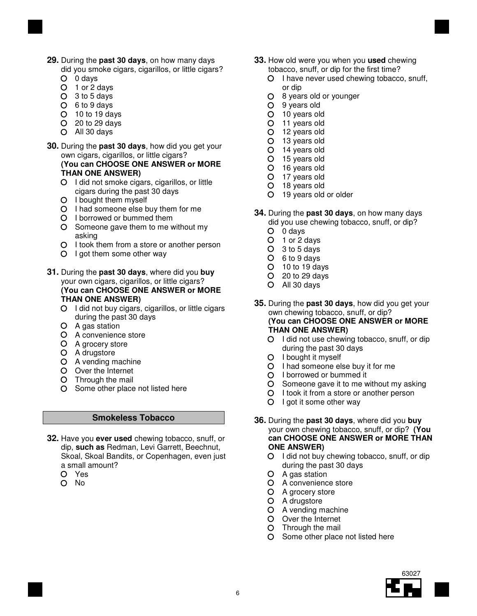- **29.** During the **past 30 days**, on how many days did you smoke cigars, cigarillos, or little cigars?
	- 0 days
	- O 1 or 2 days
	- 3 to 5 days
	- 6 to 9 days
	- 10 to 19 days
	- $Q$  20 to 29 days
	- All 30 days
- **30.** During the **past 30 days**, how did you get your own cigars, cigarillos, or little cigars? **(You can CHOOSE ONE ANSWER or MORE** 
	- **THAN ONE ANSWER)**  O I did not smoke cigars, cigarillos, or little
	- cigars during the past 30 days
	- O I bought them myself
	- O I had someone else buy them for me
	- O I borrowed or bummed them
	- O Someone gave them to me without my asking
	- O I took them from a store or another person
	- O I got them some other way
- **31.** During the **past 30 days**, where did you **buy**  your own cigars, cigarillos, or little cigars?  **(You can CHOOSE ONE ANSWER or MORE THAN ONE ANSWER)** 
	- O I did not buy cigars, cigarillos, or little cigars during the past 30 days
	- A gas station
	- A convenience store
	- A grocery store
	- A drugstore
	- A vending machine
	- Over the Internet
	- Through the mail
	- O Some other place not listed here

# **Smokeless Tobacco**

- **32.** Have you **ever used** chewing tobacco, snuff, or dip, **such as** Redman, Levi Garrett, Beechnut, Skoal, Skoal Bandits, or Copenhagen, even just a small amount?
	- Yes
	- O No
- **33.** How old were you when you **used** chewing tobacco, snuff, or dip for the first time?
	- O I have never used chewing tobacco, snuff, or dip
	- 8 years old or younger ∩
	- 9 years old
	- 10 years old
	- 11 years old
	- 12 years old
	- 13 years old
	- 14 years old
	- 15 years old
	- $\circ$ 16 years old
	- 17 years old  $\circ$
	- $\circ$ 18 years old
	- 19 years old or older
- **34.** During the **past 30 days**, on how many days did you use chewing tobacco, snuff, or dip?
	- 0 days
	- O 1 or 2 days
	- 3 to 5 days
	- 6 to 9 days
	- 10 to 19 days
	- $\circ$ 20 to 29 days
	- All 30 days
- **35.** During the **past 30 days**, how did you get your own chewing tobacco, snuff, or dip? **(You can CHOOSE ONE ANSWER or MORE THAN ONE ANSWER)** 
	- O I did not use chewing tobacco, snuff, or dip during the past 30 days
	- I bought it myself
	- O I had someone else buy it for me
	- O I borrowed or bummed it
	- O Someone gave it to me without my asking
	- O I took it from a store or another person
	- O I got it some other way
- **36.** During the **past 30 days**, where did you **buy** your own chewing tobacco, snuff, or dip? **(You can CHOOSE ONE ANSWER or MORE THAN ONE ANSWER)**
	- O I did not buy chewing tobacco, snuff, or dip during the past 30 days
	- A gas station
	- A convenience store
	- A grocery store
	- A drugstore
	- A vending machine
	- Over the Internet
	- Through the mail
	- O Some other place not listed here

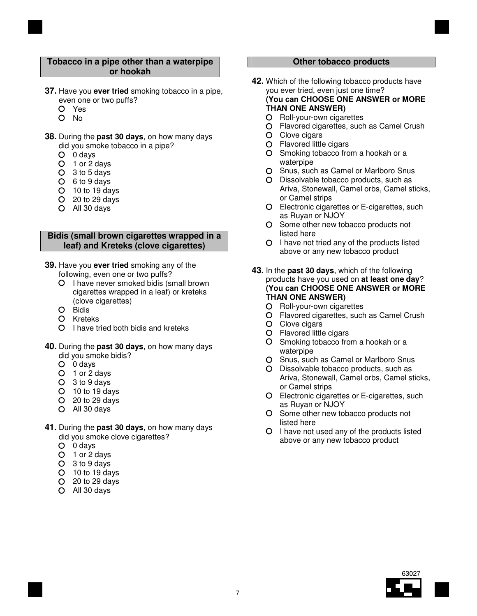# **Tobacco in a pipe other than a waterpipe or hookah**

- **37.** Have you **ever tried** smoking tobacco in a pipe, even one or two puffs?
	- O Yes
	- $O$  No.
- **38.** During the **past 30 days**, on how many days did you smoke tobacco in a pipe?
	- 0 days
	- O 1 or 2 days
	- $O$  3 to 5 days
	- 6 to 9 days
	- 10 to 19 days
	- 20 to 29 days
	- All 30 days

### **Bidis (small brown cigarettes wrapped in a leaf) and Kreteks (clove cigarettes)**

- **39.** Have you **ever tried** smoking any of the following, even one or two puffs?
	- O I have never smoked bidis (small brown cigarettes wrapped in a leaf) or kreteks (clove cigarettes)
	- O Bidis
	- O Kreteks
	- O I have tried both bidis and kreteks
- **40.** During the **past 30 days**, on how many days did you smoke bidis?
	- 0 days
	- O 1 or 2 days
	- 3 to 9 days
	- 10 to 19 days
	- 20 to 29 days
	- All 30 days
- **41.** During the **past 30 days**, on how many days did you smoke clove cigarettes?
	- 0 days
	- O 1 or 2 days
	- 3 to 9 days
	- 10 to 19 days
	- 20 to 29 days
	- All 30 days

# **Other tobacco products**

- **42.** Which of the following tobacco products have you ever tried, even just one time? **(You can CHOOSE ONE ANSWER or MORE THAN ONE ANSWER)** 
	- O Roll-your-own cigarettes
	- Flavored cigarettes, such as Camel Crush
	- $\circ$ Clove cigars
	- Flavored little cigars  $\circ$
	- Smoking tobacco from a hookah or a  $\circ$ waterpipe
	- $\Omega$ Snus, such as Camel or Marlboro Snus
	- Dissolvable tobacco products, such as Ariva, Stonewall, Camel orbs, Camel sticks, or Camel strips
	- Electronic cigarettes or E-cigarettes, such as Ruyan or NJOY
	- O Some other new tobacco products not listed here
	- O I have not tried any of the products listed above or any new tobacco product
- **43.** In the **past 30 days**, which of the following products have you used on **at least one day**? **(You can CHOOSE ONE ANSWER or MORE THAN ONE ANSWER)**
	- O Roll-your-own cigarettes
	- $\circ$ Flavored cigarettes, such as Camel Crush
	- $\circ$ Clove cigars
	- $\circ$ Flavored little cigars
	- O Smoking tobacco from a hookah or a waterpipe
	- $\circ$ Snus, such as Camel or Marlboro Snus
	- Dissolvable tobacco products, such as Ariva, Stonewall, Camel orbs, Camel sticks, or Camel strips
	- Electronic cigarettes or E-cigarettes, such as Ruyan or NJOY
	- O Some other new tobacco products not listed here
	- O I have not used any of the products listed above or any new tobacco product

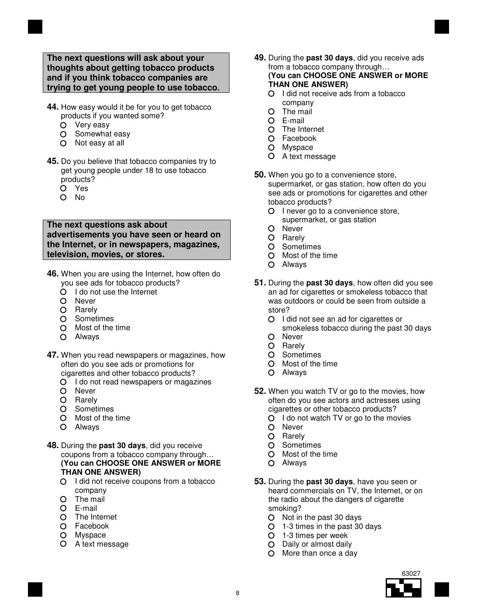- **44.** How easy would it be for you to get tobacco products if you wanted some?
	- O Very easy
	- O Somewhat easy
	- Not easy at all
- **45.** Do you believe that tobacco companies try to get young people under 18 to use tobacco products?
	- Yes
	- O No

## **The next questions ask about advertisements you have seen or heard on the Internet, or in newspapers, magazines, television, movies, or stores.**

- **46.** When you are using the Internet, how often do you see ads for tobacco products?
	- O I do not use the Internet
	- O Never
	- O Rarely
	- O Sometimes
	- Most of the time
	- Always
- **47.** When you read newspapers or magazines, how often do you see ads or promotions for cigarettes and other tobacco products?
	- O I do not read newspapers or magazines
	- O Never
	- O Rarely
	- Sometimes
	- Most of the time
	- Always
- **48.** During the **past 30 days**, did you receive coupons from a tobacco company through… **(You can CHOOSE ONE ANSWER or MORE THAN ONE ANSWER)** 
	- O I did not receive coupons from a tobacco company
	- O The mail
	- E-mail
	- O The Internet
	- Facebook
	- O Myspace
	- A text message
- **49.** During the **past 30 days**, did you receive ads from a tobacco company through… **(You can CHOOSE ONE ANSWER or MORE THAN ONE ANSWER)** 
	- O I did not receive ads from a tobacco company
	- O The mail
	- E-mail
	- The Internet
	- Facebook
	- O Myspace
	- A text message
- **50.** When you go to a convenience store, supermarket, or gas station, how often do you see ads or promotions for cigarettes and other tobacco products?
	- O I never go to a convenience store, supermarket, or gas station
	- O Never
	- O Rarely
	- Sometimes
	- Most of the time
	- Always
- **51.** During the **past 30 days**, how often did you see an ad for cigarettes or smokeless tobacco that was outdoors or could be seen from outside a store?
	- O I did not see an ad for cigarettes or smokeless tobacco during the past 30 days
	- $\circ$ Never
	- O Rarely
	- O Sometimes
	- Most of the time
	- Always
- **52.** When you watch TV or go to the movies, how often do you see actors and actresses using cigarettes or other tobacco products?
	- O I do not watch TV or go to the movies
	- O Never
	- O Rarely
	- O Sometimes
	- Most of the time
	- Always
- **53.** During the **past 30 days**, have you seen or heard commercials on TV, the Internet, or on the radio about the dangers of cigarette smoking?
	- O Not in the past 30 days
	- 1-3 times in the past 30 days
	- 1-3 times per week
	- Daily or almost daily
	- More than once a day

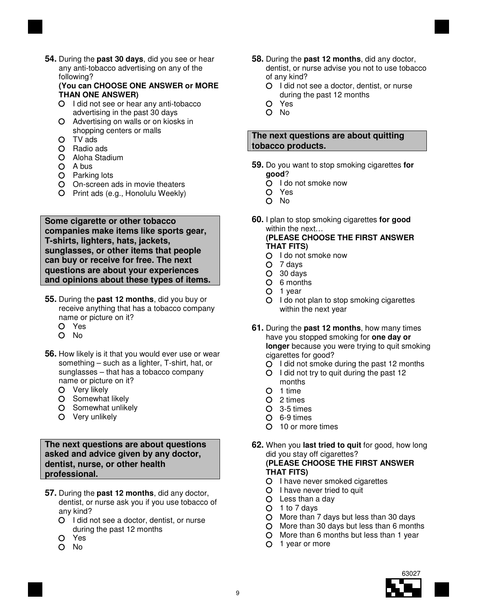**54.** During the **past 30 days**, did you see or hear any anti-tobacco advertising on any of the following?

#### **(You can CHOOSE ONE ANSWER or MORE THAN ONE ANSWER)**

- O I did not see or hear any anti-tobacco advertising in the past 30 days
- Advertising on walls or on kiosks in shopping centers or malls
- TV ads
- O Radio ads
- Aloha Stadium
- O A bus
- O Parking lots
- On-screen ads in movie theaters
- O Print ads (e.g., Honolulu Weekly)

**Some cigarette or other tobacco companies make items like sports gear, T-shirts, lighters, hats, jackets, sunglasses, or other items that people can buy or receive for free. The next questions are about your experiences and opinions about these types of items.**

- **55.** During the **past 12 months**, did you buy or receive anything that has a tobacco company name or picture on it?
	- Yes
	- O No
- **56.** How likely is it that you would ever use or wear something – such as a lighter, T-shirt, hat, or sunglasses – that has a tobacco company name or picture on it?
	- Very likely
	- O Somewhat likely
	- O Somewhat unlikely
	- Very unlikely

### **The next questions are about questions asked and advice given by any doctor, dentist, nurse, or other health professional.**

- **57.** During the **past 12 months**, did any doctor, dentist, or nurse ask you if you use tobacco of any kind?
	- O I did not see a doctor, dentist, or nurse during the past 12 months
	- Yes
	- O No
- **58.** During the **past 12 months**, did any doctor, dentist, or nurse advise you not to use tobacco of any kind?
	- O I did not see a doctor, dentist, or nurse during the past 12 months
	- Yes  $\circ$
	- O No

## **The next questions are about quitting tobacco products.**

- **59.** Do you want to stop smoking cigarettes **for good**?
	- O I do not smoke now
	- O Yes
	- O No
- **60.** I plan to stop smoking cigarettes **for good** within the next… **(PLEASE CHOOSE THE FIRST ANSWER** 
	- **THAT FITS)**
	- O I do not smoke now
	- O 7 days
	- 30 days
	- 6 months
	- O 1 year
	- I do not plan to stop smoking cigarettes within the next year
- **61.** During the **past 12 months**, how many times have you stopped smoking for **one day or longer** because you were trying to quit smoking cigarettes for good?
	- O I did not smoke during the past 12 months
	- O I did not try to quit during the past 12 months
	- O 1 time
	- 2 times
	- 3-5 times
	- 6-9 times
	- 10 or more times
- **62.** When you **last tried to quit** for good, how long did you stay off cigarettes? **(PLEASE CHOOSE THE FIRST ANSWER THAT FITS)** 
	- O I have never smoked cigarettes
	- O I have never tried to quit
	- Less than a day
	- 1 to 7 days
	- More than 7 days but less than 30 days
	- More than 30 days but less than 6 months
	- More than 6 months but less than 1 year
	- O 1 year or more

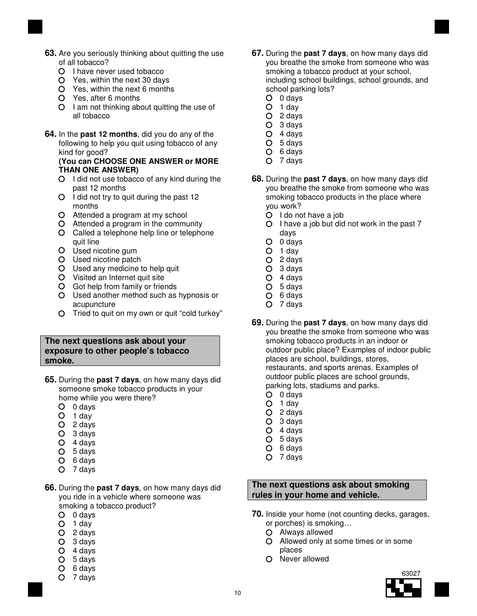- **63.** Are you seriously thinking about quitting the use of all tobacco?
	- O I have never used tobacco
	- Yes, within the next 30 days
	- Yes, within the next 6 months
	- Yes, after 6 months
	- O I am not thinking about quitting the use of all tobacco
- **64.** In the **past 12 months**, did you do any of the following to help you quit using tobacco of any kind for good?

#### **(You can CHOOSE ONE ANSWER or MORE THAN ONE ANSWER)**

- O I did not use tobacco of any kind during the past 12 months
- $O$  I did not try to quit during the past 12 months
- Attended a program at my school
- Attended a program in the community
- Called a telephone help line or telephone quit line
- O Used nicotine gum
- Used nicotine patch
- Used any medicine to help quit
- Visited an Internet quit site
- Got help from family or friends
- Used another method such as hypnosis or acupuncture
- Tried to quit on my own or quit "cold turkey"

#### **The next questions ask about your exposure to other people's tobacco smoke.**

- **65.** During the **past 7 days**, on how many days did someone smoke tobacco products in your home while you were there?
	- 0 days
	- $O$  1 day
	- 2 days
	- 3 days
	- 4 days
	- 5 days
	- O 6 days
	- O 7 days
- **66.** During the **past 7 days**, on how many days did you ride in a vehicle where someone was smoking a tobacco product?
	- 0 days
	- $O$  1 day
	- O 2 days
	- 3 days
	- O 4 days
	- O 5 days
	- O 6 days
	- O 7 days
- **67.** During the **past 7 days**, on how many days did you breathe the smoke from someone who was smoking a tobacco product at your school, including school buildings, school grounds, and school parking lots?
	- 0 days
	- $O$  1 day
	- 2 days
	- 3 days
	- 4 days
	- 5 days
	- O 6 days
	- O 7 days
- **68.** During the **past 7 days**, on how many days did you breathe the smoke from someone who was smoking tobacco products in the place where you work?
	- O I do not have a job
	- $O$  I have a job but did not work in the past 7 days
	- 0 days
	- O 1 day
	- 2 days
	- 3 days
	- 4 days
	- 5 days
	- O 6 days
	- O 7 days
- **69.** During the **past 7 days**, on how many days did you breathe the smoke from someone who was smoking tobacco products in an indoor or outdoor public place? Examples of indoor public places are school, buildings, stores, restaurants, and sports arenas. Examples of outdoor public places are school grounds, parking lots, stadiums and parks.
	- 0 days
	- $O$  1 day
	- 2 days
	- 3 days
	- 4 days
	- 5 days
	- O 6 days
	- O 7 days

# **The next questions ask about smoking rules in your home and vehicle.**

- **70.** Inside your home (not counting decks, garages, or porches) is smoking…
	- Always allowed
	- Allowed only at some times or in some places
	- O Never allowed

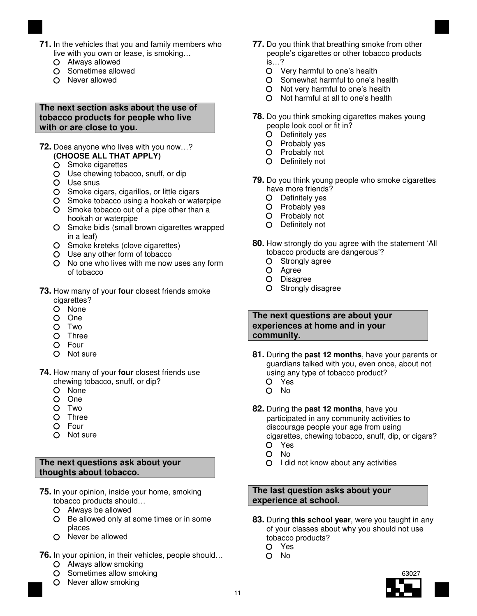- **71.** In the vehicles that you and family members who live with you own or lease, is smoking…
	- Always allowed
	- O Sometimes allowed
	- O Never allowed

### **The next section asks about the use of tobacco products for people who live with or are close to you.**

- **72.** Does anyone who lives with you now…? **(CHOOSE ALL THAT APPLY)** 
	- O Smoke cigarettes
	- Use chewing tobacco, snuff, or dip
	- O Use snus
	- O Smoke cigars, cigarillos, or little cigars
	- O Smoke tobacco using a hookah or waterpipe
	- O Smoke tobacco out of a pipe other than a hookah or waterpipe
	- Smoke bidis (small brown cigarettes wrapped in a leaf)
	- O Smoke kreteks (clove cigarettes)
	- Use any other form of tobacco
	- No one who lives with me now uses any form of tobacco
- **73.** How many of your **four** closest friends smoke cigarettes?
	- O None
	- O One
	- O Two
	- O Three
	- O Four
	- O Not sure
- **74.** How many of your **four** closest friends use chewing tobacco, snuff, or dip?
	- O None
	- O One
	- O Two
	- O Three
	- Four
	- Not sure
- **The next questions ask about your thoughts about tobacco.**
- **75.** In your opinion, inside your home, smoking tobacco products should…
	- Always be allowed
	- Be allowed only at some times or in some places
	- O Never be allowed
- **76.** In your opinion, in their vehicles, people should…
	- Always allow smoking
	- O Sometimes allow smoking
	- O Never allow smoking
- **77.** Do you think that breathing smoke from other people's cigarettes or other tobacco products is…?
	- Very harmful to one's health
	- O Somewhat harmful to one's health
	- O Not very harmful to one's health
	- O Not harmful at all to one's health
- **78.** Do you think smoking cigarettes makes young people look cool or fit in?
	- O Definitely yes
	- $\circ$ Probably yes
	- $\Omega$ Probably not
	- O Definitely not
- **79.** Do you think young people who smoke cigarettes have more friends?
	- O Definitely yes
	- O Probably yes
	- $\circ$ Probably not
	- O Definitely not
- **80.** How strongly do you agree with the statement 'All tobacco products are dangerous'?
	- Strongly agree  $\circ$
	- O Agree
	- $\circ$ Disagree
	- O Strongly disagree

#### **The next questions are about your experiences at home and in your community.**

- **81.** During the **past 12 months**, have your parents or guardians talked with you, even once, about not using any type of tobacco product? O Yes
	- O No
- **82.** During the **past 12 months**, have you participated in any community activities to discourage people your age from using cigarettes, chewing tobacco, snuff, dip, or cigars? Yes
	- O No
	- O I did not know about any activities

# **The last question asks about your experience at school.**

- **83.** During **this school year**, were you taught in any of your classes about why you should not use tobacco products?
	- O Yes
	- O No